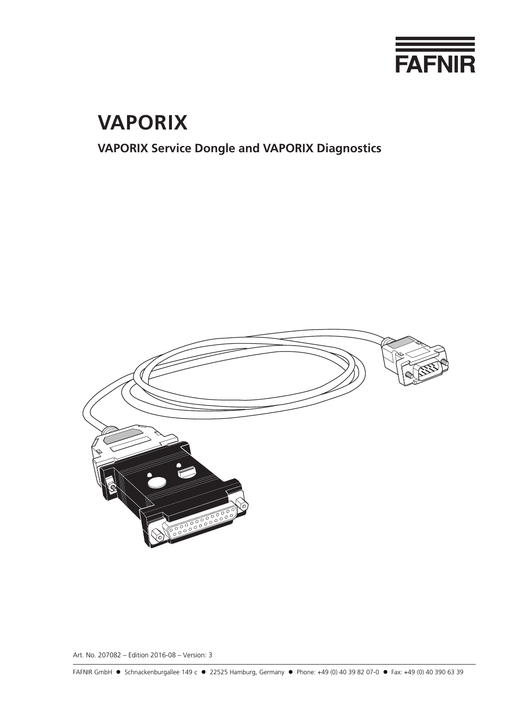

# **VAPORIX**

# **VAPORIX Service Dongle and VAPORIX Diagnostics**



Art. No. 207082 – Edition 2016-08 – Version: 3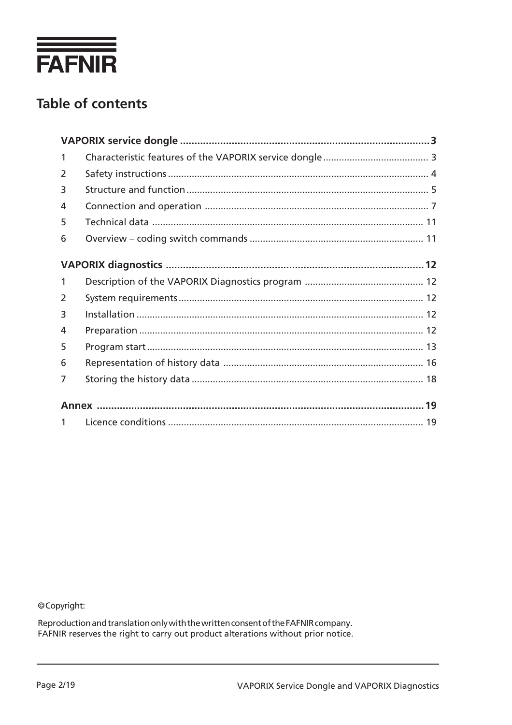

# **Table of contents**

| $\mathbf{1}$ |  |
|--------------|--|
| 2            |  |
| 3            |  |
| 4            |  |
| 5            |  |
| 6            |  |
|              |  |
|              |  |
| $\mathbf{1}$ |  |
| 2            |  |
| 3            |  |
| 4            |  |
| 5            |  |
| 6            |  |
| 7            |  |
|              |  |
|              |  |
| $\mathbf{1}$ |  |

©Copyright:

Reproduction and translation only with the written consent of the FAFNIR company.<br>FAFNIR reserves the right to carry out product alterations without prior notice.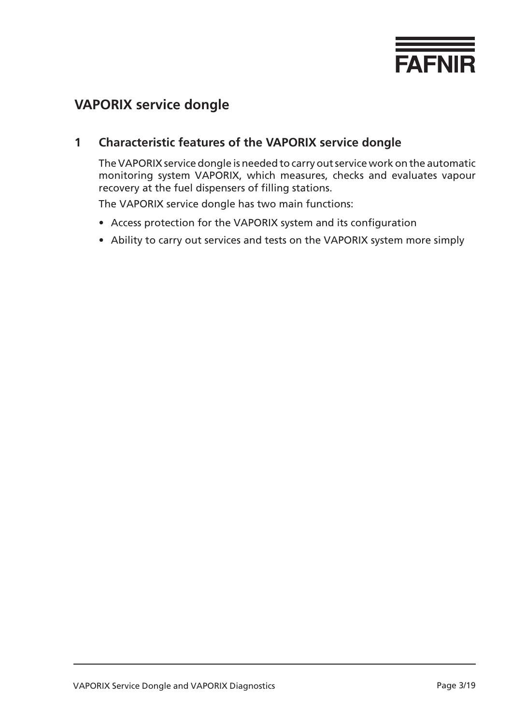

# <span id="page-2-0"></span>**VAPORIX service dongle**

### **1 Characteristic features of the VAPORIX service dongle**

The VAPORIX service dongle is needed to carry out service work on the automatic monitoring system VAPORIX, which measures, checks and evaluates vapour recovery at the fuel dispensers of filling stations.

The VAPORIX service dongle has two main functions:

- Access protection for the VAPORIX system and its configuration
- Ability to carry out services and tests on the VAPORIX system more simply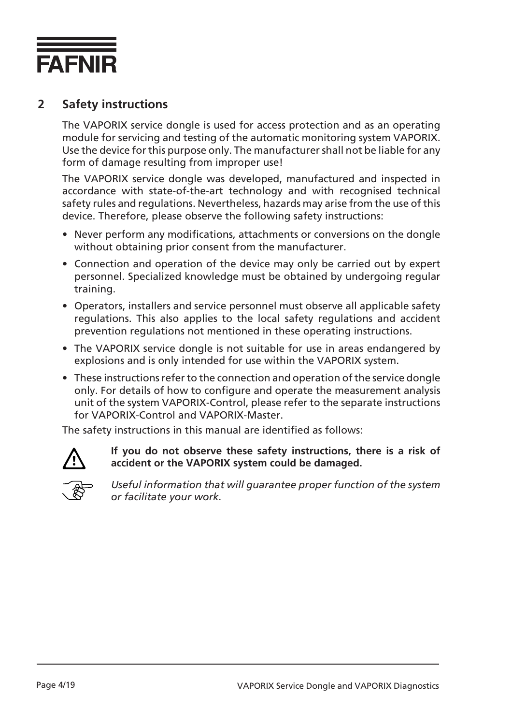<span id="page-3-0"></span>

### **2 Safety instructions**

The VAPORIX service dongle is used for access protection and as an operating module for servicing and testing of the automatic monitoring system VAPORIX. Use the device for this purpose only. The manufacturer shall not be liable for any form of damage resulting from improper use!

The VAPORIX service dongle was developed, manufactured and inspected in accordance with state-of-the-art technology and with recognised technical safety rules and regulations. Nevertheless, hazards may arise from the use of this device. Therefore, please observe the following safety instructions:

- Never perform any modifications, attachments or conversions on the dongle without obtaining prior consent from the manufacturer.
- Connection and operation of the device may only be carried out by expert personnel. Specialized knowledge must be obtained by undergoing regular training.
- Operators, installers and service personnel must observe all applicable safety regulations. This also applies to the local safety regulations and accident prevention regulations not mentioned in these operating instructions.
- The VAPORIX service dongle is not suitable for use in areas endangered by explosions and is only intended for use within the VAPORIX system.
- These instructions refer to the connection and operation of the service dongle only. For details of how to configure and operate the measurement analysis unit of the system VAPORIX-Control, please refer to the separate instructions for VAPORIX-Control and VAPORIX-Master.

The safety instructions in this manual are identified as follows:



**If you do not observe these safety instructions, there is a risk of accident or the VAPORIX system could be damaged.**



*Useful information that will guarantee proper function of the system or facilitate your work.*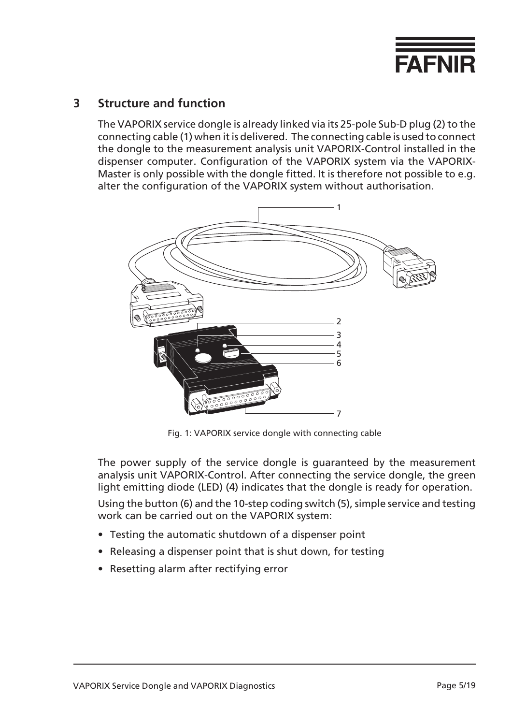

#### <span id="page-4-0"></span>**3 Structure and function**

The VAPORIX service dongle is already linked via its 25-pole Sub-D plug (2) to the connecting cable (1) when it is delivered. The connecting cable is used to connect the dongle to the measurement analysis unit VAPORIX-Control installed in the dispenser computer. Configuration of the VAPORIX system via the VAPORIX-Master is only possible with the dongle fitted. It is therefore not possible to e.g. alter the configuration of the VAPORIX system without authorisation.



Fig. 1: VAPORIX service dongle with connecting cable

The power supply of the service dongle is guaranteed by the measurement analysis unit VAPORIX-Control. After connecting the service dongle, the green light emitting diode (LED) (4) indicates that the dongle is ready for operation. Using the button (6) and the 10-step coding switch (5), simple service and testing work can be carried out on the VAPORIX system:

- Testing the automatic shutdown of a dispenser point
- Releasing a dispenser point that is shut down, for testing
- Resetting alarm after rectifying error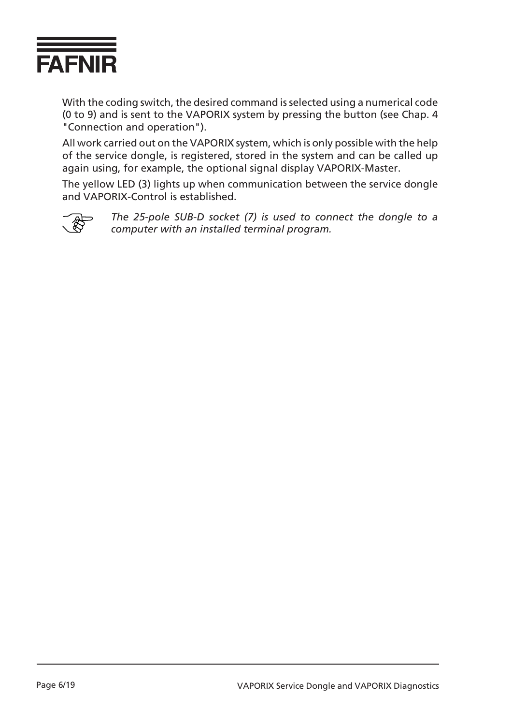

With the coding switch, the desired command is selected using a numerical code (0 to 9) and is sent to the VAPORIX system by pressing the button (see Chap. 4 "Connection and operation").

All work carried out on the VAPORIX system, which is only possible with the help of the service dongle, is registered, stored in the system and can be called up again using, for example, the optional signal display VAPORIX-Master.

The yellow LED (3) lights up when communication between the service dongle and VAPORIX-Control is established.



*The 25-pole SUB-D socket (7) is used to connect the dongle to a computer with an installed terminal program.*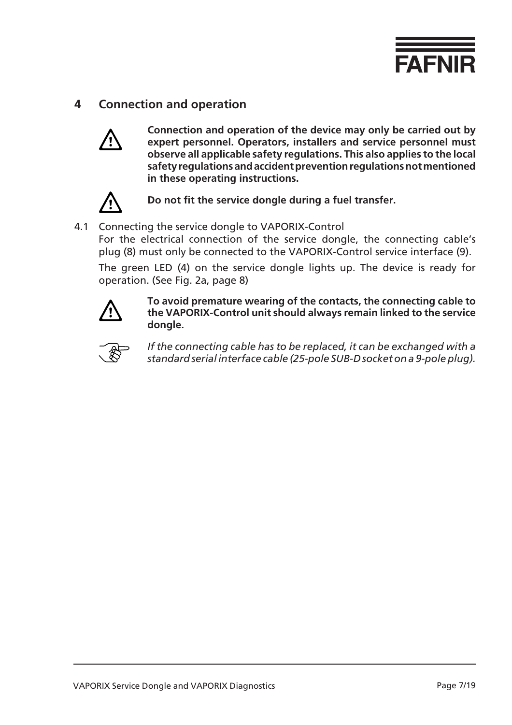

### <span id="page-6-0"></span>**4 Connection and operation**



**Connection and operation of the device may only be carried out by expert personnel. Operators, installers and service personnel must observe all applicable safety regulations. This also applies to the local safety regulations and accident prevention regulations not mentioned in these operating instructions.**



**Do not fit the service dongle during a fuel transfer.**

#### 4.1 Connecting the service dongle to VAPORIX-Control

For the electrical connection of the service dongle, the connecting cable's plug (8) must only be connected to the VAPORIX-Control service interface (9).

The green LED (4) on the service dongle lights up. The device is ready for operation. (See Fig. 2a, page 8)



**To avoid premature wearing of the contacts, the connecting cable to the VAPORIX-Control unit should always remain linked to the service dongle.**



*If the connecting cable has to be replaced, it can be exchanged with a standard serial interface cable (25-pole SUB-D socket on a 9-pole plug).*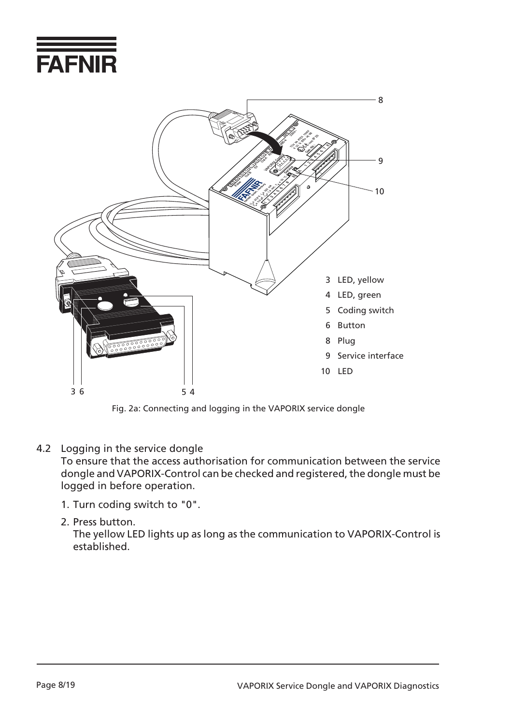



Fig. 2a: Connecting and logging in the VAPORIX service dongle

4.2 Logging in the service dongle

To ensure that the access authorisation for communication between the service dongle and VAPORIX-Control can be checked and registered, the dongle must be logged in before operation.

- 1. Turn coding switch to "0".
- 2. Press button.

The yellow LED lights up as long as the communication to VAPORIX-Control is established.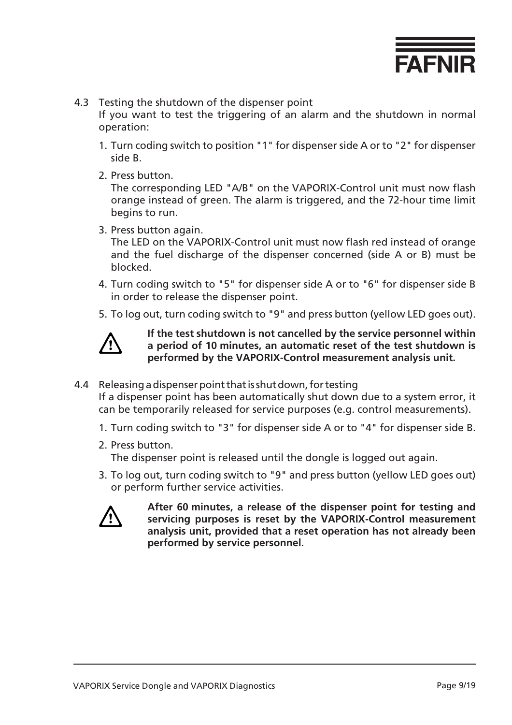

- 4.3 Testing the shutdown of the dispenser point If you want to test the triggering of an alarm and the shutdown in normal operation:
	- 1. Turn coding switch to position "1" for dispenser side A or to "2" for dispenser side B.
	- 2. Press button.

The corresponding LED "A/B" on the VAPORIX-Control unit must now flash orange instead of green. The alarm is triggered, and the 72-hour time limit begins to run.

3. Press button again.

The LED on the VAPORIX-Control unit must now flash red instead of orange and the fuel discharge of the dispenser concerned (side A or B) must be blocked.

- 4. Turn coding switch to "5" for dispenser side A or to "6" for dispenser side B in order to release the dispenser point.
- 5. To log out, turn coding switch to "9" and press button (yellow LED goes out).



**If the test shutdown is not cancelled by the service personnel within a period of 10 minutes, an automatic reset of the test shutdown is performed by the VAPORIX-Control measurement analysis unit.**

4.4 Releasing a dispenser point that is shut down, for testing

If a dispenser point has been automatically shut down due to a system error, it can be temporarily released for service purposes (e.g. control measurements).

- 1. Turn coding switch to "3" for dispenser side A or to "4" for dispenser side B.
- 2. Press button.

The dispenser point is released until the dongle is logged out again.

3. To log out, turn coding switch to "9" and press button (yellow LED goes out) or perform further service activities.



**After 60 minutes, a release of the dispenser point for testing and servicing purposes is reset by the VAPORIX-Control measurement analysis unit, provided that a reset operation has not already been performed by service personnel.**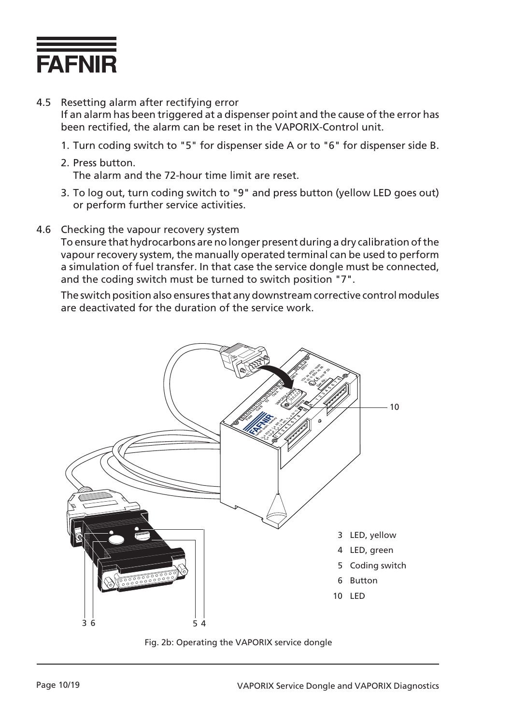

- 4.5 Resetting alarm after rectifying error If an alarm has been triggered at a dispenser point and the cause of the error has been rectified, the alarm can be reset in the VAPORIX-Control unit.
	- 1. Turn coding switch to "5" for dispenser side A or to "6" for dispenser side B.
	- 2. Press button. The alarm and the 72-hour time limit are reset.
	- 3. To log out, turn coding switch to "9" and press button (yellow LED goes out) or perform further service activities.
- 4.6 Checking the vapour recovery system

To ensure that hydrocarbons are no longer present during a dry calibration of the vapour recovery system, the manually operated terminal can be used to perform a simulation of fuel transfer. In that case the service dongle must be connected, and the coding switch must be turned to switch position "7".

The switch position also ensures that any downstream corrective control modules are deactivated for the duration of the service work.



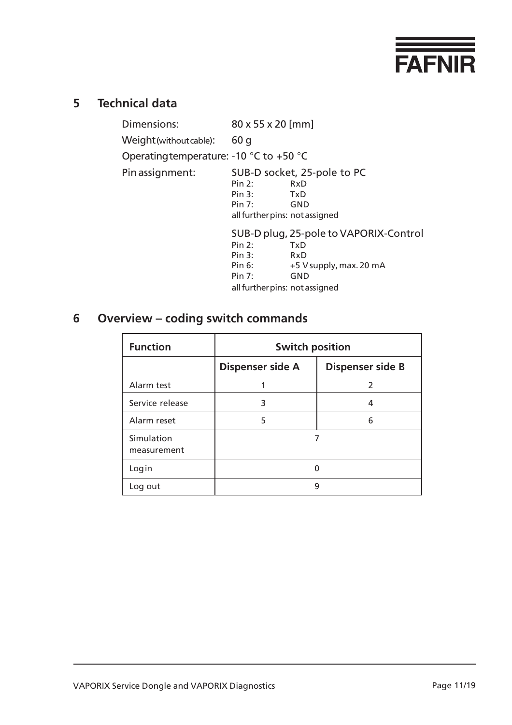

# <span id="page-10-0"></span>**5 Technical data**

| Dimensions:                                                 | 80 x 55 x 20 [mm]                      |                             |  |  |  |  |
|-------------------------------------------------------------|----------------------------------------|-----------------------------|--|--|--|--|
| Weight (without cable):                                     | 60q                                    |                             |  |  |  |  |
| Operating temperature: -10 $^{\circ}$ C to +50 $^{\circ}$ C |                                        |                             |  |  |  |  |
| Pin assignment:                                             |                                        | SUB-D socket, 25-pole to PC |  |  |  |  |
|                                                             | Pin 2:                                 | RxD                         |  |  |  |  |
|                                                             | Pin 3:                                 | TxD                         |  |  |  |  |
|                                                             | Pin $7:$                               | GND                         |  |  |  |  |
|                                                             | all further pins: not assigned         |                             |  |  |  |  |
|                                                             | SUB-D plug, 25-pole to VAPORIX-Control |                             |  |  |  |  |
|                                                             | Pin 2:                                 | TxD                         |  |  |  |  |
|                                                             | Pin $3:$                               | RxD                         |  |  |  |  |
|                                                             | Pin 6:                                 | +5 V supply, max. 20 mA     |  |  |  |  |
|                                                             | Pin $7:$                               | <b>GND</b>                  |  |  |  |  |
|                                                             | all further pins: not assigned         |                             |  |  |  |  |

# **6 Overview – coding switch commands**

| <b>Function</b>           | <b>Switch position</b>  |                         |  |  |  |  |
|---------------------------|-------------------------|-------------------------|--|--|--|--|
|                           | <b>Dispenser side A</b> | <b>Dispenser side B</b> |  |  |  |  |
| Alarm test                |                         | 2                       |  |  |  |  |
| Service release           | 3                       | 4                       |  |  |  |  |
| Alarm reset               | 5                       | 6                       |  |  |  |  |
| Simulation<br>measurement |                         |                         |  |  |  |  |
| Login                     | ∩                       |                         |  |  |  |  |
| Log out                   | 9                       |                         |  |  |  |  |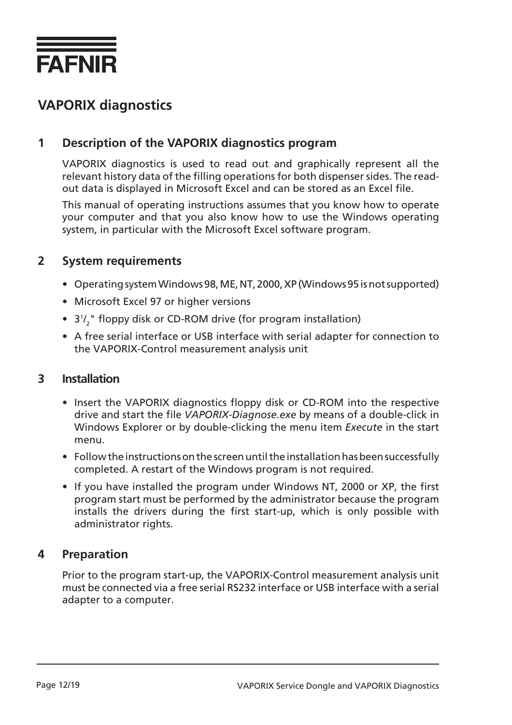<span id="page-11-0"></span>

# **VAPORIX diagnostics**

### **1 Description of the VAPORIX diagnostics program**

VAPORIX diagnostics is used to read out and graphically represent all the relevant history data of the filling operations for both dispenser sides. The readout data is displayed in Microsoft Excel and can be stored as an Excel file.

This manual of operating instructions assumes that you know how to operate your computer and that you also know how to use the Windows operating system, in particular with the Microsoft Excel software program.

#### **2 System requirements**

- Operating system Windows 98, ME, NT, 2000, XP (Windows 95 is not supported)
- Microsoft Excel 97 or higher versions
- 3<sup>1</sup>/<sub>2</sub>" floppy disk or CD-ROM drive (for program installation)
- A free serial interface or USB interface with serial adapter for connection to the VAPORIX-Control measurement analysis unit

#### **3 Installation**

- Insert the VAPORIX diagnostics floppy disk or CD-ROM into the respective drive and start the file *VAPORIX-Diagnose.exe* by means of a double-click in Windows Explorer or by double-clicking the menu item *Execute* in the start menu.
- Follow the instructions on the screen until the installation has been successfully completed. A restart of the Windows program is not required.
- If you have installed the program under Windows NT, 2000 or XP, the first program start must be performed by the administrator because the program installs the drivers during the first start-up, which is only possible with administrator rights.

#### **4 Preparation**

Prior to the program start-up, the VAPORIX-Control measurement analysis unit must be connected via a free serial RS232 interface or USB interface with a serial adapter to a computer.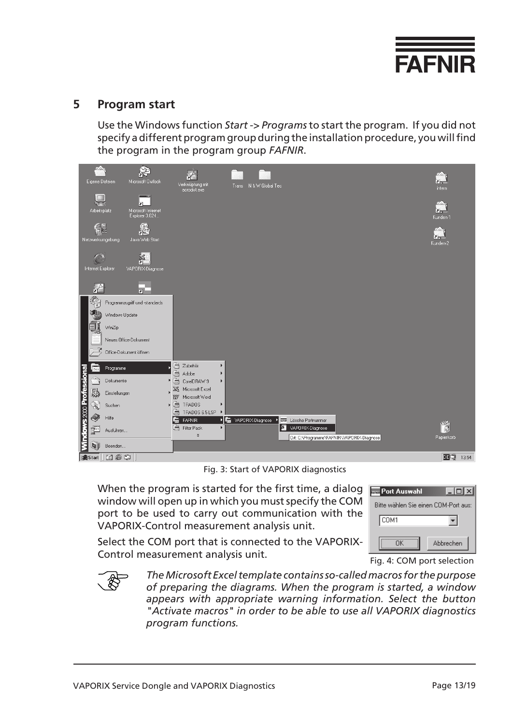

#### <span id="page-12-0"></span>**5 Program start**

Use the Windows function *Start -> Programs* to start the program. If you did not specify a different program group during the installation procedure, you will find the program in the program group *FAFNIR*.

| <b>KON</b><br>Eigene Dateien         | 烩<br>Microsoft Dutlook                           | Verknüpfung mit<br>acrodist.exe                |   | Trans N & W Global Tec                                                                  | intern                      |
|--------------------------------------|--------------------------------------------------|------------------------------------------------|---|-----------------------------------------------------------------------------------------|-----------------------------|
| Arbeitsplatz                         | 'n.<br>Microsoft Internet<br>Explorer 3.02-L     |                                                |   |                                                                                         | le bar<br>Kunden-1          |
| Netzwerkumgebung                     | 月<br>Java Web Start                              |                                                |   |                                                                                         | Zh-<br>Kunden-2             |
| Internet Explorer                    | 쫇<br>VAPORIX-Diagnose                            |                                                |   |                                                                                         |                             |
| $\mathbb{A}$                         | $\overline{R}$                                   |                                                |   |                                                                                         |                             |
| 靠                                    | Programmzugriff und -standards<br>Windows Update |                                                |   |                                                                                         |                             |
| <b>A</b>                             | WinZip                                           |                                                |   |                                                                                         |                             |
|                                      | Neues Office-Dokument<br>Office-Dokument öffnen  |                                                |   |                                                                                         |                             |
| 9.8a                                 | Programme                                        | à<br>Zubehör<br>Þ.                             |   |                                                                                         |                             |
|                                      | Dokumente                                        | Adobe<br>Þ.<br>上面<br>CorelDRAW 9<br>Þ.         |   |                                                                                         |                             |
| 鸚                                    | Einstellungen                                    | $\sum$ Microsoft Excel<br>W Microsoft Word     |   |                                                                                         |                             |
| X                                    | Suchen                                           | ▶ 扇 <br>TRADOS<br>×                            |   |                                                                                         |                             |
| <b>D</b>                             | Hilfe                                            | à<br>TRADOS 6.5 LSP<br>后<br><b>FAFNIR</b><br>Ы | 层 | Lösche Portnummer<br>VAPORIX-Diagnose<br>$\overline{\overline{\overline{\mathrm{NMR}}}$ |                             |
| <b>Windows 2000 Professiona</b><br>ē | Ausführen                                        | G<br>Filter Pack<br>Þ.<br>¥                    |   | 囫<br>VAPORIX-Diagnose<br>Ort: C:\Programme\FAFNIR\VAPORIX-Diagnose                      | $\infty$<br>G<br>Papierkorb |
| 四                                    | Beenden                                          |                                                |   |                                                                                         |                             |
| <b>图Start</b>                        | det                                              |                                                |   |                                                                                         | 四旬<br>13:54                 |

Fig. 3: Start of VAPORIX diagnostics

When the program is started for the first time, a dialog window will open up in which you must specify the COM port to be used to carry out communication with the VAPORIX-Control measurement analysis unit.

| <b>THE Port Auswahl</b>              | $  \square   \square   \times$ |  |  |  |  |  |  |  |  |  |
|--------------------------------------|--------------------------------|--|--|--|--|--|--|--|--|--|
| Bitte wählen Sie einen COM-Port aus: |                                |  |  |  |  |  |  |  |  |  |
| COM1                                 |                                |  |  |  |  |  |  |  |  |  |
| ΠK                                   | Abbrechen                      |  |  |  |  |  |  |  |  |  |
|                                      |                                |  |  |  |  |  |  |  |  |  |

Select the COM port that is connected to the VAPORIX-Control measurement analysis unit.

Fig. 4: COM port selection



*The Microsoft Excel template contains so-called macros for the purpose of preparing the diagrams. When the program is started, a window appears with appropriate warning information. Select the button "Activate macros" in order to be able to use all VAPORIX diagnostics program functions.*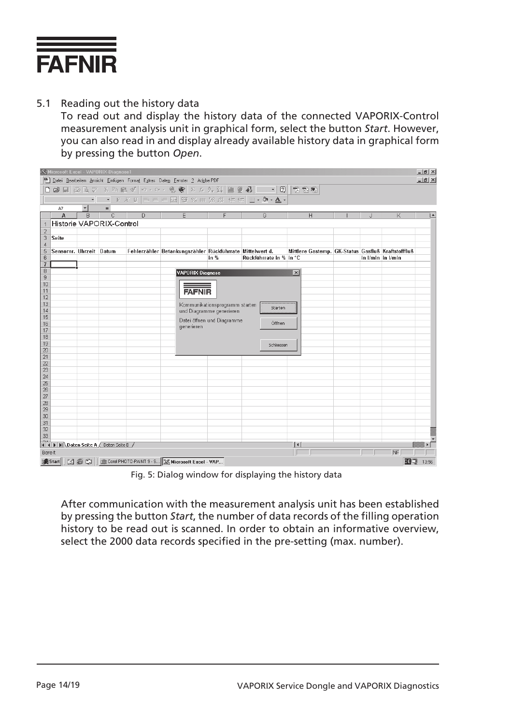

5.1 Reading out the history data

To read out and display the history data of the connected VAPORIX-Control measurement analysis unit in graphical form, select the button *Start*. However, you can also read in and display already available history data in graphical form by pressing the button *Open*.

|                   |                         |                      | X Microsoft Excel - VAPORIX-Diagnose1   |   |                                                                                                                                                                                                                                                                  |                                |                         |                                                    |                   |    | $-10 \times$<br>$-10 \times$ |
|-------------------|-------------------------|----------------------|-----------------------------------------|---|------------------------------------------------------------------------------------------------------------------------------------------------------------------------------------------------------------------------------------------------------------------|--------------------------------|-------------------------|----------------------------------------------------|-------------------|----|------------------------------|
|                   |                         |                      |                                         |   | 58 Datei Bearbeiten Ansicht Einfügen Format Extras Daten Fenster ? Adobe PDF                                                                                                                                                                                     |                                |                         |                                                    |                   |    |                              |
|                   |                         |                      |                                         |   | B 2 8 8 5 7 8 8 8 1 0 × 0 × 1 8 6 2 % \$ 3 1 8 9 4 <del>0 ×</del> 0 1 8 5 6                                                                                                                                                                                      |                                |                         |                                                    |                   |    |                              |
|                   |                         | $\star$              |                                         |   | $\boxed{\cdot\mid r\;\;\textrm{ }x\;\;\textrm{ }y\;\left \;\equiv\;\equiv\;\equiv\;\boxdot\;\left \;\bigcirc\;\gamma\;\;\textrm{ }m\;\;\textrm{ }y\;\;\beta\right \;\uparrow\;\not\equiv\;\left \;\equiv\;\bullet\;\;\blacktriangle\;\bullet\;\right.\right.}\\$ |                                |                         |                                                    |                   |    |                              |
|                   | A7                      | $\blacktriangledown$ | $=$                                     |   |                                                                                                                                                                                                                                                                  |                                |                         |                                                    |                   |    |                              |
|                   | A                       | B                    | C                                       | D | E                                                                                                                                                                                                                                                                | F                              | G                       | H                                                  | $\cdot$           | K  |                              |
|                   |                         |                      | Historie VAPORIX-Control                |   |                                                                                                                                                                                                                                                                  |                                |                         |                                                    |                   |    |                              |
| 2                 |                         |                      |                                         |   |                                                                                                                                                                                                                                                                  |                                |                         |                                                    |                   |    |                              |
| 3                 | Seite                   |                      |                                         |   |                                                                                                                                                                                                                                                                  |                                |                         |                                                    |                   |    |                              |
| $\overline{4}$    |                         |                      |                                         |   |                                                                                                                                                                                                                                                                  |                                |                         |                                                    |                   |    |                              |
| 5                 | Sensornr. Uhrzeit Datum |                      |                                         |   | Fehlerzähler Betankungszähler Rückführrate Mittelwert d.                                                                                                                                                                                                         |                                |                         | Mittlere Gastemp. GK-Status Gasfluß Kraftstofffluß |                   |    |                              |
| 6                 |                         |                      |                                         |   |                                                                                                                                                                                                                                                                  | in %                           | Rückführrate in % in °C |                                                    | in I/min in I/min |    |                              |
| 7<br>8            |                         |                      |                                         |   |                                                                                                                                                                                                                                                                  |                                |                         |                                                    |                   |    |                              |
| 9                 |                         |                      |                                         |   | VAPORIX-Diagnose                                                                                                                                                                                                                                                 |                                |                         | $\overline{\mathbf{x}}$                            |                   |    |                              |
| 10                |                         |                      |                                         |   |                                                                                                                                                                                                                                                                  |                                |                         |                                                    |                   |    |                              |
| 11                |                         |                      |                                         |   | <b>FAFNIR</b>                                                                                                                                                                                                                                                    |                                |                         |                                                    |                   |    |                              |
| 12                |                         |                      |                                         |   |                                                                                                                                                                                                                                                                  |                                |                         |                                                    |                   |    |                              |
| 13                |                         |                      |                                         |   |                                                                                                                                                                                                                                                                  | Kommunikationsprogramm starten | Starten                 |                                                    |                   |    |                              |
| 14                |                         |                      |                                         |   |                                                                                                                                                                                                                                                                  | und Diagramme generieren       |                         |                                                    |                   |    |                              |
| 15                |                         |                      |                                         |   |                                                                                                                                                                                                                                                                  | Datei öffnen und Diagramme     |                         |                                                    |                   |    |                              |
| 16                |                         |                      |                                         |   | generieren                                                                                                                                                                                                                                                       |                                | Öffnen                  |                                                    |                   |    |                              |
| 17<br>18          |                         |                      |                                         |   |                                                                                                                                                                                                                                                                  |                                |                         |                                                    |                   |    |                              |
| 19                |                         |                      |                                         |   |                                                                                                                                                                                                                                                                  |                                |                         |                                                    |                   |    |                              |
| 20                |                         |                      |                                         |   |                                                                                                                                                                                                                                                                  |                                | Schliessen              |                                                    |                   |    |                              |
| 21                |                         |                      |                                         |   |                                                                                                                                                                                                                                                                  |                                |                         |                                                    |                   |    |                              |
| 22                |                         |                      |                                         |   |                                                                                                                                                                                                                                                                  |                                |                         |                                                    |                   |    |                              |
| 23                |                         |                      |                                         |   |                                                                                                                                                                                                                                                                  |                                |                         |                                                    |                   |    |                              |
| 24                |                         |                      |                                         |   |                                                                                                                                                                                                                                                                  |                                |                         |                                                    |                   |    |                              |
| $\overline{25}$   |                         |                      |                                         |   |                                                                                                                                                                                                                                                                  |                                |                         |                                                    |                   |    |                              |
| 26                |                         |                      |                                         |   |                                                                                                                                                                                                                                                                  |                                |                         |                                                    |                   |    |                              |
| 27                |                         |                      |                                         |   |                                                                                                                                                                                                                                                                  |                                |                         |                                                    |                   |    |                              |
| 28<br>29          |                         |                      |                                         |   |                                                                                                                                                                                                                                                                  |                                |                         |                                                    |                   |    |                              |
| 30                |                         |                      |                                         |   |                                                                                                                                                                                                                                                                  |                                |                         |                                                    |                   |    |                              |
| 31                |                         |                      |                                         |   |                                                                                                                                                                                                                                                                  |                                |                         |                                                    |                   |    |                              |
| $\overline{32}$   |                         |                      |                                         |   |                                                                                                                                                                                                                                                                  |                                |                         |                                                    |                   |    |                              |
| 33                |                         |                      |                                         |   |                                                                                                                                                                                                                                                                  |                                |                         |                                                    |                   |    |                              |
| $\sim$ $\epsilon$ |                         |                      | II I DI Daten Seite A / Daten Seite B / |   |                                                                                                                                                                                                                                                                  |                                |                         | $  \cdot  $                                        |                   |    |                              |
| Bereit            |                         |                      |                                         |   |                                                                                                                                                                                                                                                                  |                                |                         |                                                    |                   | NF |                              |
|                   |                         |                      |                                         |   |                                                                                                                                                                                                                                                                  |                                |                         |                                                    |                   |    |                              |
|                   |                         |                      |                                         |   |                                                                                                                                                                                                                                                                  |                                |                         |                                                    |                   | 西切 | 13:56                        |

Fig. 5: Dialog window for displaying the history data

After communication with the measurement analysis unit has been established by pressing the button *Start*, the number of data records of the filling operation history to be read out is scanned. In order to obtain an informative overview, select the 2000 data records specified in the pre-setting (max. number).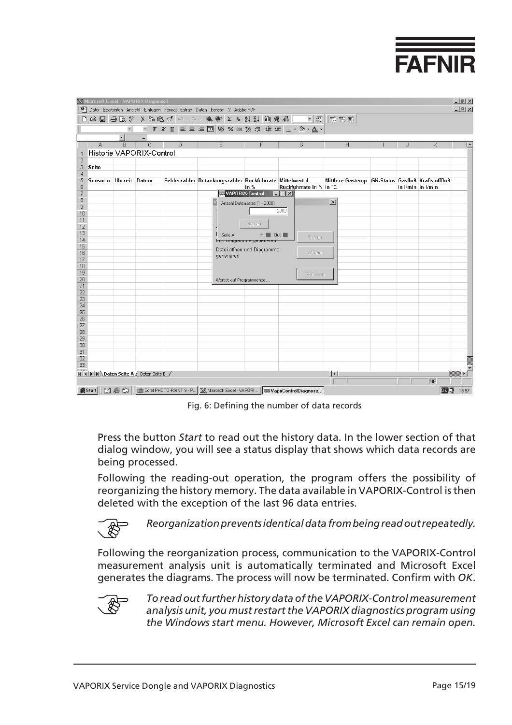

<span id="page-14-0"></span>

|                | <b>X Microsoft Excel - VAPORIX-Diagnose1</b> |                          |   |   | [88] Datei Bearbeiten Ansicht Einfügen Format Extras Daten Fenster ? Adobe PDF |                                                                            |                                   |                                                    |    |                 | $- B $ $\times$<br>$ B$ $\times$ |
|----------------|----------------------------------------------|--------------------------|---|---|--------------------------------------------------------------------------------|----------------------------------------------------------------------------|-----------------------------------|----------------------------------------------------|----|-----------------|----------------------------------|
|                |                                              |                          |   |   | DFBBBV 3 4 8 8 1 0 × 0 × 8 × 8 × 8 × 2 × 2 × 1 1 1 2 × 8 × 1 × 1 2 1 2 8 × 1   |                                                                            |                                   |                                                    |    |                 |                                  |
|                |                                              |                          |   |   | ▼ F K U   事 書 書 国   99 % 00 % # #   情 字   田 • め • ▲ •                          |                                                                            |                                   |                                                    |    |                 |                                  |
|                |                                              | $\overline{\phantom{0}}$ |   |   |                                                                                |                                                                            |                                   |                                                    |    |                 |                                  |
|                | А                                            | B                        | C | D | Ε                                                                              | F                                                                          | G                                 | H                                                  | ۱. | K               | ∣▲                               |
|                | Historie VAPORIX-Control                     |                          |   |   |                                                                                |                                                                            |                                   |                                                    |    |                 |                                  |
| $\overline{2}$ |                                              |                          |   |   |                                                                                |                                                                            |                                   |                                                    |    |                 |                                  |
| 3              | <b>Seite</b>                                 |                          |   |   |                                                                                |                                                                            |                                   |                                                    |    |                 |                                  |
| $\overline{4}$ |                                              |                          |   |   |                                                                                |                                                                            |                                   |                                                    |    |                 |                                  |
| 5<br>6         | Sensornr. Uhrzeit Datum                      |                          |   |   | Fehlerzähler Betankungszähler Rückführrate Mittelwert d.                       |                                                                            |                                   | Mittlere Gastemp. GK-Status Gasfluß Kraftstofffluß |    | in Vmin in Vmin |                                  |
| $\overline{7}$ |                                              |                          |   |   |                                                                                | in $%$<br><b>EXAPORIX-Control</b>                                          | Rückführrate in % in °C<br>$\Box$ |                                                    |    |                 |                                  |
| 8              |                                              |                          |   |   |                                                                                | Anzahl Datensätze (1 - 2000)                                               |                                   | $\vert x \vert$                                    |    |                 |                                  |
| 9              |                                              |                          |   |   |                                                                                |                                                                            |                                   |                                                    |    |                 |                                  |
| 10             |                                              |                          |   |   |                                                                                |                                                                            | 2000                              |                                                    |    |                 |                                  |
| 11             |                                              |                          |   |   |                                                                                | Starten                                                                    |                                   |                                                    |    |                 |                                  |
| 12<br>13       |                                              |                          |   |   |                                                                                |                                                                            |                                   |                                                    |    |                 |                                  |
| 14             |                                              |                          |   |   | Seite A                                                                        | In $\blacksquare$ Out $\blacksquare$<br><del>unu pragramme genereren</del> | <b>Starten</b>                    |                                                    |    |                 |                                  |
| 15             |                                              |                          |   |   |                                                                                |                                                                            |                                   |                                                    |    |                 |                                  |
| 16             |                                              |                          |   |   | generieren                                                                     | Datei öffnen und Diagramme                                                 | Öffnen                            |                                                    |    |                 |                                  |
| 17             |                                              |                          |   |   |                                                                                |                                                                            |                                   |                                                    |    |                 |                                  |
| 18             |                                              |                          |   |   |                                                                                |                                                                            |                                   |                                                    |    |                 |                                  |
| 19<br>20       |                                              |                          |   |   |                                                                                |                                                                            | Schliessen                        |                                                    |    |                 |                                  |
| 21             |                                              |                          |   |   | Wartet auf Programmende                                                        |                                                                            |                                   |                                                    |    |                 |                                  |
| 22             |                                              |                          |   |   |                                                                                |                                                                            |                                   |                                                    |    |                 |                                  |
| 23             |                                              |                          |   |   |                                                                                |                                                                            |                                   |                                                    |    |                 |                                  |
| 24             |                                              |                          |   |   |                                                                                |                                                                            |                                   |                                                    |    |                 |                                  |
| 25<br>26       |                                              |                          |   |   |                                                                                |                                                                            |                                   |                                                    |    |                 |                                  |
| 27             |                                              |                          |   |   |                                                                                |                                                                            |                                   |                                                    |    |                 |                                  |
| 28             |                                              |                          |   |   |                                                                                |                                                                            |                                   |                                                    |    |                 |                                  |
| 29             |                                              |                          |   |   |                                                                                |                                                                            |                                   |                                                    |    |                 |                                  |
| 30             |                                              |                          |   |   |                                                                                |                                                                            |                                   |                                                    |    |                 |                                  |
| 31             |                                              |                          |   |   |                                                                                |                                                                            |                                   |                                                    |    |                 |                                  |
| 32<br>33       |                                              |                          |   |   |                                                                                |                                                                            |                                   |                                                    |    |                 |                                  |
|                |                                              |                          |   |   |                                                                                |                                                                            |                                   |                                                    |    |                 |                                  |
|                | H 4 > > Daten Seite A / Daten Seite B /      |                          |   |   |                                                                                |                                                                            |                                   | $\vert \cdot \vert$                                |    |                 |                                  |
|                |                                              |                          |   |   |                                                                                |                                                                            |                                   |                                                    |    | NF              |                                  |
|                |                                              |                          |   |   |                                                                                |                                                                            |                                   |                                                    |    | œÓ              | 13:57                            |

Fig. 6: Defining the number of data records

Press the button *Start* to read out the history data. In the lower section of that dialog window, you will see a status display that shows which data records are being processed.

Following the reading-out operation, the program offers the possibility of reorganizing the history memory. The data available in VAPORIX-Control is then deleted with the exception of the last 96 data entries.

*Reorganization prevents identical data from being read out repeatedly.*

Following the reorganization process, communication to the VAPORIX-Control measurement analysis unit is automatically terminated and Microsoft Excel generates the diagrams. The process will now be terminated. Confirm with *OK*.



*To read out further history data of the VAPORIX-Control measurement analysis unit, you must restart the VAPORIX diagnostics program using the Windows start menu. However, Microsoft Excel can remain open.*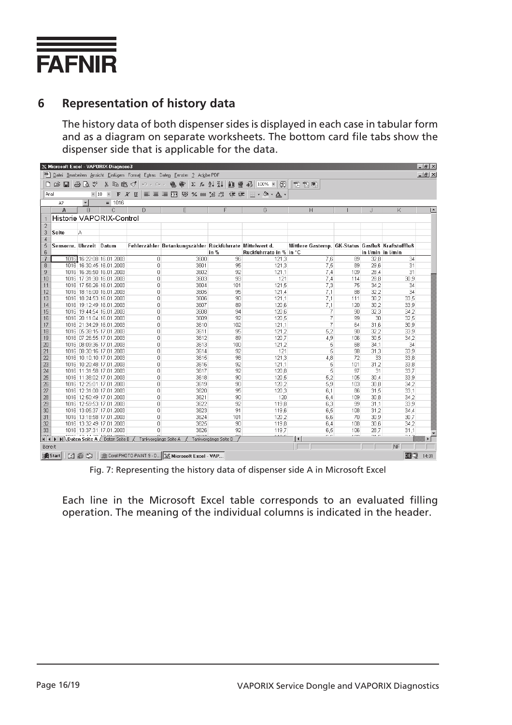

### **6 Representation of history data**

The history data of both dispenser sides is displayed in each case in tabular form and as a diagram on separate worksheets. The bottom card file tabs show the dispenser side that is applicable for the data.

| $- B  \times$<br>X Microsoft Excel - VAPORIX-Diagnose3                    |                         |              |                                                                                |                      |                                                                  |                      |                            |                                                    |                |            |                   |
|---------------------------------------------------------------------------|-------------------------|--------------|--------------------------------------------------------------------------------|----------------------|------------------------------------------------------------------|----------------------|----------------------------|----------------------------------------------------|----------------|------------|-------------------|
| Datei Bearbeiten Ansicht Einfügen Format Extras Daten Fenster ? Adobe PDF |                         |              |                                                                                |                      |                                                                  |                      |                            |                                                    |                |            | $ B$ $\times$     |
|                                                                           | $A \cup B$              |              |                                                                                | るも良ダ $ $ の・ペー        | 总管                                                               |                      | Σ £ 2↓ ₹↓ 仙 ● 49 100% ▼ 29 | 我我喝                                                |                |            |                   |
| Arial                                                                     |                         |              |                                                                                |                      | ▼10 ▼ F X U   ≣ ≣   車 国   59 % 00 % 4%   信 信   日 • め • A •       |                      |                            |                                                    |                |            |                   |
|                                                                           | A7                      | $\mathbf{r}$ | $= 1016$                                                                       |                      |                                                                  |                      |                            |                                                    |                |            |                   |
|                                                                           | A                       | B            | C                                                                              | D                    | E                                                                | F                    | G                          | H                                                  |                | J          | K<br>∣▲           |
|                                                                           |                         |              | Historie VAPORIX-Control                                                       |                      |                                                                  |                      |                            |                                                    |                |            |                   |
| $\overline{2}$                                                            |                         |              |                                                                                |                      |                                                                  |                      |                            |                                                    |                |            |                   |
| 3                                                                         | Seite                   | А            |                                                                                |                      |                                                                  |                      |                            |                                                    |                |            |                   |
| 4                                                                         |                         |              |                                                                                |                      |                                                                  |                      |                            |                                                    |                |            |                   |
| 5                                                                         | Sensornr. Uhrzeit Datum |              |                                                                                |                      | Fehlerzähler Betankungszähler Rückführrate Mittelwert d.         |                      |                            | Mittlere Gastemp. GK-Status Gasfluß Kraftstofffluß |                |            |                   |
| 6                                                                         |                         |              |                                                                                |                      |                                                                  | in %                 | Rückführrate in % in °C    |                                                    |                |            | in I/min in I/min |
| 7                                                                         |                         |              | 1016 16:22:08 16.01.2003                                                       | $\Box$               | 3600                                                             | 96                   | 121,3                      | 7,6                                                | 89             | 32,8       | 34                |
| 8                                                                         |                         |              | 1016 16:30:45 16.01.2003                                                       | $\Box$               | 3601                                                             | 95                   | 121,3                      | 7,5                                                | 89             | 29,6       | 31                |
| 9                                                                         |                         |              | 1016 16:35:50 16.01.2003                                                       | n                    | 3602                                                             | 92                   | 121.1                      | 7.4                                                | 109            | 28.4       | 31                |
| 10                                                                        |                         |              | 1016 17:31:30 16.01.2003                                                       | n.                   | 3603                                                             | 93                   | 121                        | 7 <sub>A</sub>                                     | 114            | 28,8       | 30,9              |
| 11                                                                        |                         |              | 1016 17:56:26 16.01.2003                                                       | 0                    | 3604                                                             | 101                  | 121.5                      | 7,3                                                | 75             | 34,2       | 34                |
| 12                                                                        |                         |              | 1016 18:16:00 16:01.2003                                                       | 0                    | 3605                                                             | 95                   | 121.4                      | 7,1                                                | 88             | 32,2       | 34                |
| 13                                                                        |                         |              | 1016 18:24:53 16.01.2003                                                       | 0                    | 3606                                                             | 90                   | 121,1                      | 7,1                                                | 111            | 30,2       | 33,5              |
| 14                                                                        |                         |              | 1016 19:12:49 16.01.2003                                                       | n                    | 3607                                                             | 89                   | 120.6                      | 7,1                                                | 120            | 30,2       | 33,9              |
| 15                                                                        |                         |              | 1016 19:44:54 16.01.2003                                                       | 0                    | 3608                                                             | 94                   | 120,6                      | 7                                                  | 90             | 32,3       | 34,2              |
| 16                                                                        |                         |              | 1016 20:11:04 16.01.2003                                                       | 0                    | 3609                                                             | 92                   | 120,5                      | 7                                                  | 99             | 30         | 32.5              |
| 17                                                                        |                         |              | 1016 21:34:29 16.01.2003                                                       | 0                    | 3610                                                             | 102                  | 121,1                      | $\overline{7}$                                     | 64             | 31,6       | 30,9              |
| 18                                                                        |                         |              | 1016 05:38:15 17.01.2003                                                       | 0                    | 3611                                                             | 95                   | 121,2                      | 5,2                                                | 90             | 32,2       | 33,9              |
| 19                                                                        |                         |              | 1016 07:26:55 17.01.2003                                                       | 0                    | 3612                                                             | 89                   | 120.7                      | 4.9                                                | 106            | 30.5       | 34.2              |
| 20                                                                        |                         |              | 1016 08:09:36 17.01.2003                                                       | n.                   | 3613                                                             | 100                  | 121,2                      | 5                                                  | 68             | 34,1       | 34                |
| 21                                                                        |                         |              | 1016 08:30:16 17.01.2003                                                       | n                    | 3614                                                             | 92                   | 121                        | 5                                                  | 98             | 31,3       | 33,9              |
| 22<br>23                                                                  |                         |              | 1016 10:10:10 17:01.2003<br>1016 10:20:48 17.01.2003                           | 0<br>0               | 3615<br>3616                                                     | 98<br>92             | 121,3                      | 4,8<br>5                                           | 72<br>101      | 33<br>31,2 | 33,8<br>33,8      |
| 24                                                                        |                         |              | 1016 11:31:58 17.01.2003                                                       | 0                    | 3617                                                             | 92                   | 121,1<br>120.8             | 5                                                  | 97             | 31         | 33,7              |
| 25                                                                        |                         |              | 1016 11:38:02 17:01.2003                                                       | 0                    | 3618                                                             | 90                   | 120.5                      | 5,2                                                | 105            | 30.4       | 33,9              |
| 26                                                                        |                         |              | 1016 12:25:01 17:01.2003                                                       | n                    | 3619                                                             | 90                   | 120.2                      | 5,9                                                | 103            | 30,8       | 34.2              |
| 27                                                                        |                         |              | 1016 12:31:00 17:01.2003                                                       | 0                    | 3620                                                             | 95                   | 120,3                      | 6,1                                                | 86             | 31,5       | 33,1              |
| 28                                                                        |                         |              | 1016 12:50:49 17.01.2003                                                       | 0                    | 3621                                                             | 90                   | 120                        | 6,4                                                | 109            | 30,8       | 34,2              |
| 29                                                                        |                         |              | 1016 12:59:53 17.01.2003                                                       | 0                    | 3622                                                             | 92                   | 119.8                      | 6,3                                                | 99             | 31.1       | 33.9              |
| 30                                                                        |                         |              | 1016 13:05:37 17.01.2003                                                       | 0                    | 3623                                                             | 91                   | 119,6                      | 6,5                                                | 108            | 31,2       | 34,4              |
| 31                                                                        |                         |              | 1016 13:18:58 17.01.2003                                                       | n                    | 3624                                                             | 101                  | 120.2                      | 6,6                                                | 70             | 30,9       | 30.7              |
| 32                                                                        |                         |              | 1016 13:32:49 17:01.2003                                                       | 0                    | 3625                                                             | 90                   | 119,8                      | 6.4                                                | 108            | 30.6       | 34.2              |
| 33                                                                        |                         |              | 1016 13:37:31 17.01.2003                                                       | O                    | 3626                                                             | 92                   | 119.7                      | 6,5                                                | 106            | 28,7       | 31,1              |
|                                                                           |                         |              | sosol so se oolg <del>a os oooo</del><br>H 4   H Daten Seite A / Daten Seite B | Tankvorgänge Seite A |                                                                  | Tankvorgänge Seite B | 1100                       | $\sim$ $\sim$<br>$\vert \cdot \vert$               | $\overline{a}$ | 240        | 0.10              |
| Bereit                                                                    |                         |              |                                                                                |                      |                                                                  |                      |                            |                                                    |                |            | NF                |
|                                                                           | <b>A</b> Start          |              |                                                                                |                      | <b>12 卷 9 I 面Corel PHOTO-PAINT 9 - D X Microsoft Excel - VAP</b> |                      |                            |                                                    |                |            | 面切<br>14:01       |

Fig. 7: Representing the history data of dispenser side A in Microsoft Excel

Each line in the Microsoft Excel table corresponds to an evaluated filling operation. The meaning of the individual columns is indicated in the header.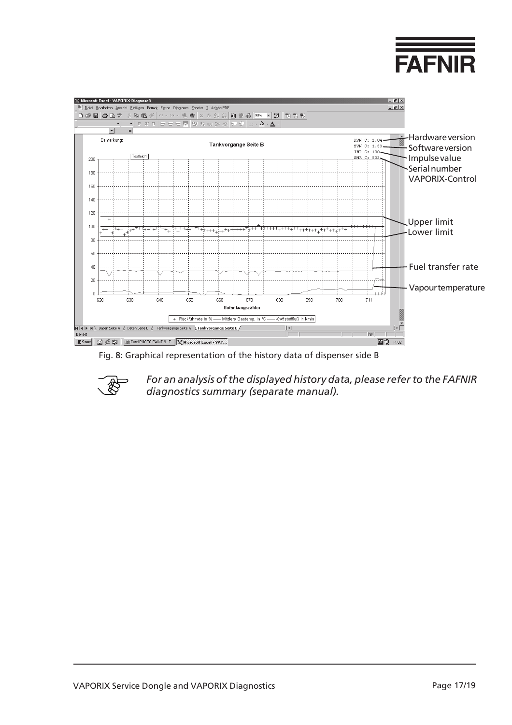<span id="page-16-0"></span>

Fig. 8: Graphical representation of the history data of dispenser side B



*For an analysis of the displayed history data, please refer to the FAFNIR diagnostics summary (separate manual).*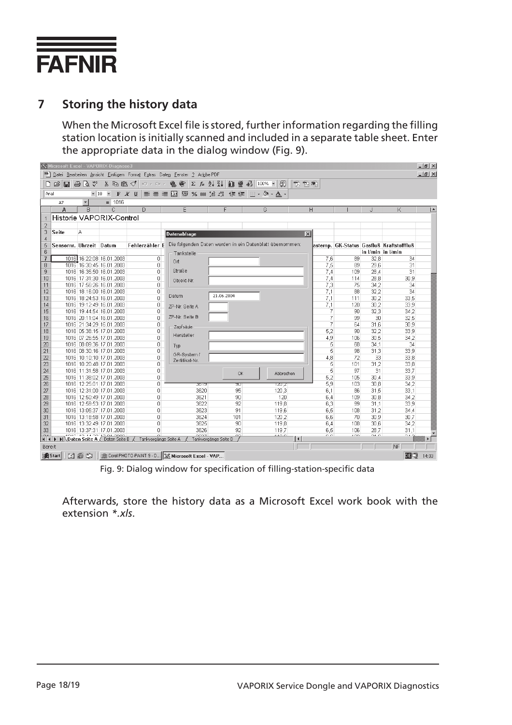

### **7 Storing the history data**

When the Microsoft Excel file is stored, further information regarding the filling station location is initially scanned and included in a separate table sheet. Enter the appropriate data in the dialog window (Fig. 9).

|                     | <b>X Microsoft Excel - VAPORIX-Diagnose3</b>                                                                                                              |                      |                                                                      |                      |                                                 |                      |                                                                         |                 |               |                |              | $ B$ $\times$                             |               |
|---------------------|-----------------------------------------------------------------------------------------------------------------------------------------------------------|----------------------|----------------------------------------------------------------------|----------------------|-------------------------------------------------|----------------------|-------------------------------------------------------------------------|-----------------|---------------|----------------|--------------|-------------------------------------------|---------------|
|                     | <sup>58</sup> Datei Bearbeiten Ansicht Einfügen Format Extras Daten Fenster ? Adobe PDF                                                                   |                      |                                                                      |                      |                                                 |                      |                                                                         |                 |               |                |              |                                           | $ B$ $\times$ |
|                     | <b>隐密 ∑ 左 斗 孔</b><br>仙堂45 100% - 2<br>$\mathcal{C} = \mathcal{C} \setminus \mathcal{C}$<br>8も良ぐ│<br>  书 もも<br>$ C\rangle \propto C $ $\propto$            |                      |                                                                      |                      |                                                 |                      |                                                                         |                 |               |                |              |                                           |               |
|                     | $\overline{\phantom{a}}$<br>- 車 国 % 咖 協 増 健 律  <br>$\Box$ $\rightarrow$ $\odot$ $\rightarrow$ $A$ $\rightarrow$<br>Arial<br>$-10$<br>$F$ $K$ U<br>青青<br>潭 |                      |                                                                      |                      |                                                 |                      |                                                                         |                 |               |                |              |                                           |               |
|                     |                                                                                                                                                           | $\blacktriangledown$ | $= 1016$                                                             |                      |                                                 |                      |                                                                         |                 |               |                |              |                                           |               |
|                     | A7<br>А                                                                                                                                                   | R                    | C.                                                                   | D.                   | F                                               | F                    | G                                                                       | H               |               |                |              | K                                         |               |
|                     |                                                                                                                                                           |                      | Historie VAPORIX-Control                                             |                      |                                                 |                      |                                                                         |                 |               |                |              |                                           |               |
|                     |                                                                                                                                                           |                      |                                                                      |                      |                                                 |                      |                                                                         |                 |               |                |              |                                           |               |
| $\overline{2}$<br>з | Seite                                                                                                                                                     | А                    |                                                                      |                      |                                                 |                      |                                                                         |                 |               |                |              |                                           |               |
| $\overline{4}$      |                                                                                                                                                           |                      |                                                                      |                      | <b>Datenabfrage</b>                             |                      |                                                                         | $\vert x \vert$ |               |                |              |                                           |               |
| 5                   | Sensornr, Uhrzeit Datum                                                                                                                                   |                      |                                                                      |                      |                                                 |                      | Fehlerzähler E Die folgenden Daten werden in ein Datenblatt übernommen: |                 |               |                |              | lastemp, GK-Status Gasfluß Kraftstofffluß |               |
| 6                   |                                                                                                                                                           |                      |                                                                      |                      | Tankstelle                                      |                      |                                                                         |                 |               |                |              | in I/min in I/min                         |               |
| $\overline{I}$      |                                                                                                                                                           |                      | 1016 16:22:08 16.01.2003                                             | $\overline{0}$       | 0rt                                             |                      |                                                                         |                 | 7,6           | 89             | 32,8         | 34                                        |               |
| 8                   |                                                                                                                                                           |                      | 1016 16:30:45 16.01.2003                                             | 0                    |                                                 |                      |                                                                         |                 | 7.5           | 89             | 29,6         | 31                                        |               |
| 9                   |                                                                                                                                                           |                      | 1016 16:35:50 16:01:2003                                             | 0                    | Straße                                          |                      |                                                                         |                 | 7,4           | 109            | 28,4         | 31                                        |               |
| 10                  |                                                                                                                                                           |                      | 1016 17:31:30 16.01.2003                                             | 0                    | Objekt-Nr.                                      |                      |                                                                         |                 | 7,4           | 114            | 28,8         | 30,9                                      |               |
| 11                  |                                                                                                                                                           |                      | 1016 17:56:26 16.01.2003                                             | 0                    |                                                 |                      |                                                                         |                 | 7,3           | 75             | 34,2         | 34                                        |               |
| 12                  |                                                                                                                                                           |                      | 1016 18:16:00 16.01.2003                                             | 0                    | Datum                                           | 21.06.2004           |                                                                         |                 | 7,1           | 88             | 32,2         | 34                                        |               |
| 13                  |                                                                                                                                                           |                      | 1016 18:24:53 16.01.2003                                             | 0                    |                                                 |                      |                                                                         |                 | 7.1           | 111            | 30.2         | 33.5                                      |               |
| 14<br>15            |                                                                                                                                                           |                      | 1016 19:12:49 16.01.2003<br>1016 19:44:54 16.01.2003                 | 0<br>0               | ZP-Nr. Seite A                                  |                      |                                                                         |                 | 7,1<br>7      | 120<br>90      | 30,2<br>32,3 | 33,9<br>34.2                              |               |
| 16                  |                                                                                                                                                           |                      | 1016 20:11:04 16:01.2003                                             | 0                    | ZP-Nr. Seite B                                  |                      |                                                                         |                 | 7             | 99             | 30           | 32,5                                      |               |
| 17                  |                                                                                                                                                           |                      | 1016 21:34:29 16.01.2003                                             | 0                    |                                                 |                      |                                                                         |                 | 7             | 64             | 31,6         | 30,9                                      |               |
| 18                  |                                                                                                                                                           |                      | 1016 05:38:15 17.01.2003                                             | $\overline{0}$       | Zapfsäule                                       |                      |                                                                         |                 | 5,2           | 90             | 32,2         | 33,9                                      |               |
| 19                  |                                                                                                                                                           |                      | 1016 07:26:55 17.01.2003                                             | 0                    | Hersteller                                      |                      |                                                                         |                 | 4,9           | 106            | 30,5         | 34,2                                      |               |
| 20                  |                                                                                                                                                           |                      | 1016 08:09:36 17.01.2003                                             | 0                    | Typ                                             |                      |                                                                         |                 | 5             | 68             | 34.1         | 34                                        |               |
| 21                  |                                                                                                                                                           |                      | 1016 08:30:16 17.01.2003                                             | 0                    |                                                 |                      |                                                                         |                 | 5             | 98             | 31,3         | 33,9                                      |               |
| 22                  |                                                                                                                                                           |                      | 1016 10:10:10 17.01.2003                                             | 0                    | GR-System /<br>Zertifikat-Nr.                   |                      |                                                                         |                 | 4,8           | 72             | 33           | 33,8                                      |               |
| 23                  |                                                                                                                                                           |                      | 1016 10:20:48 17:01.2003                                             | 0                    |                                                 |                      |                                                                         |                 | 5             | 101            | 31,2         | 33,8                                      |               |
| 24                  |                                                                                                                                                           |                      | 1016 11:31:58 17.01.2003                                             | 0                    |                                                 | <b>OK</b>            | Abbrechen                                                               |                 | 5             | 97             | 31           | 33,7                                      |               |
| 25                  |                                                                                                                                                           |                      | 1016 11:38:02 17:01:2003                                             | O                    |                                                 |                      |                                                                         |                 | 5,2           | 105            | 30.4         | 33,9                                      |               |
| 26                  |                                                                                                                                                           |                      | 1016 12:25:01 17.01.2003                                             | 0                    | তচাভ                                            | जा                   | 120,21                                                                  |                 | 5,9           | 103            | 30.8         | 34,2                                      |               |
| 27<br>28            |                                                                                                                                                           |                      | 1016 12:31:00 17:01.2003<br>1016 12:50:49 17.01.2003                 | 0<br>0               | 3620<br>3621                                    | 95<br>90             | 120,3<br>120                                                            |                 | 6.1           | 86<br>109      | 31.5<br>30,8 | 33.1<br>34,2                              |               |
| 29                  |                                                                                                                                                           |                      | 1016 12:59:53 17.01.2003                                             | 0                    | 3622                                            | 92                   | 119,8                                                                   |                 | 6,4<br>6,3    | 99             | 31.1         | 33,9                                      |               |
| 30                  |                                                                                                                                                           |                      | 1016 13:05:37 17:01.2003                                             | 0                    | 3623                                            | 91                   | 119,6                                                                   |                 | 6,5           | 108            | 31,2         | 34,4                                      |               |
| 31                  |                                                                                                                                                           |                      | 1016 13:18:58 17.01.2003                                             | Ω                    | 3624                                            | 101                  | 120,2                                                                   |                 | 6,6           | 70             | 30,9         | 30,7                                      |               |
| 32                  |                                                                                                                                                           |                      | 1016 13:32:49 17:01.2003                                             | 0                    | 3625                                            | 90                   | 119,8                                                                   |                 | 6,4           | 108            | 30.6         | 34,2                                      |               |
| 33                  |                                                                                                                                                           |                      | 1016 13:37:31 17.01.2003                                             | 0                    | 3626                                            | 92                   | 119,7                                                                   |                 | 6.5           | 106            | 28.7         | 31,1                                      |               |
| $-1$                |                                                                                                                                                           |                      | sosol so issionist os oooo<br>III I II Daten Seite A / Daten Seite B | Tankvorgänge Seite A |                                                 | Tankvorgänge Seite B | 1100                                                                    | $\vert \vert$   | $\sim$ $\sim$ | $\overline{a}$ | $\sim$       | 0.10                                      |               |
|                     | Bereit                                                                                                                                                    |                      |                                                                      |                      |                                                 |                      |                                                                         |                 |               |                |              | NF                                        |               |
|                     | <b>過Start</b>                                                                                                                                             | de a                 |                                                                      |                      | Corel PHOTO-PAINT 9 - D X Microsoft Excel - VAP |                      |                                                                         |                 |               |                |              | 面印                                        | 14:03         |

Fig. 9: Dialog window for specification of filling-station-specific data

Afterwards, store the history data as a Microsoft Excel work book with the extension *\*.xls*.